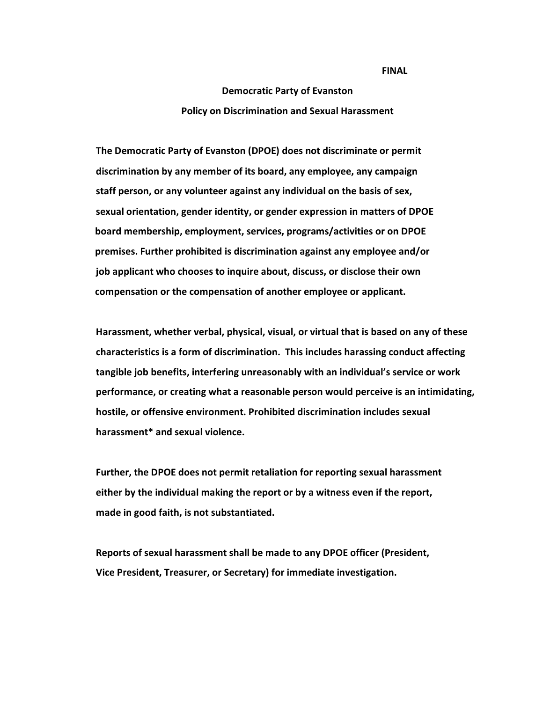*FINAL REPORT OF A REPORT OF A REPORT OF A REPORT OF A REPORT OF A REPORT OF A REPORT OF A REPORT OF A REPORT OF A REPORT OF A REPORT OF A REPORT OF A REPORT OF A REPORT OF A REPORT OF A REPORT OF A REPORT OF A REPORT OF* 

## **Democratic Party of Evanston Policy on Discrimination and Sexual Harassment**

**The Democratic Party of Evanston (DPOE) does not discriminate or permit discrimination by any member of its board, any employee, any campaign staff person, or any volunteer against any individual on the basis of sex, sexual orientation, gender identity, or gender expression in matters of DPOE board membership, employment, services, programs/activities or on DPOE premises. Further prohibited is discrimination against any employee and/or job applicant who chooses to inquire about, discuss, or disclose their own compensation or the compensation of another employee or applicant.**

**Harassment, whether verbal, physical, visual, or virtual that is based on any of these characteristics is a form of discrimination. This includes harassing conduct affecting tangible job benefits, interfering unreasonably with an individual's service or work performance, or creating what a reasonable person would perceive is an intimidating, hostile, or offensive environment. Prohibited discrimination includes sexual harassment\* and sexual violence.**

**Further, the DPOE does not permit retaliation for reporting sexual harassment either by the individual making the report or by a witness even if the report, made in good faith, is not substantiated.**

**Reports of sexual harassment shall be made to any DPOE officer (President, Vice President, Treasurer, or Secretary) for immediate investigation.**